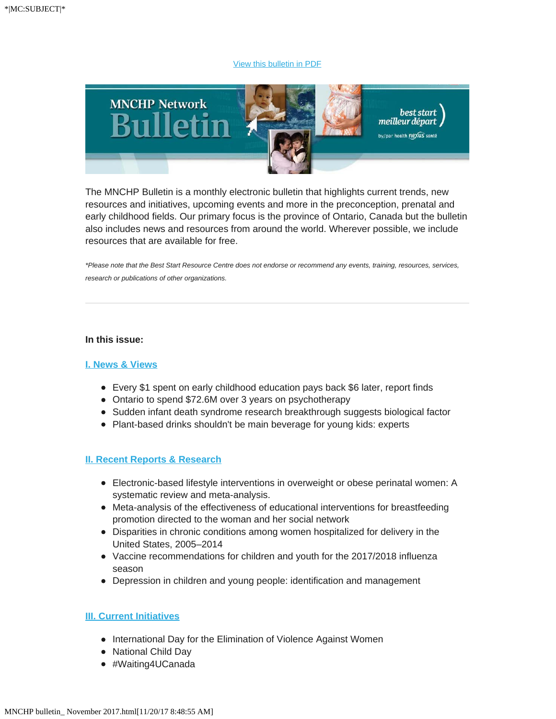#### [View this bulletin in PDF](http://en.beststart.org/services/information-exchange/MNCHP)



The MNCHP Bulletin is a monthly electronic bulletin that highlights current trends, new resources and initiatives, upcoming events and more in the preconception, prenatal and early childhood fields. Our primary focus is the province of Ontario, Canada but the bulletin also includes news and resources from around the world. Wherever possible, we include resources that are available for free.

*\*Please note that the Best Start Resource Centre does not endorse or recommend any events, training, resources, services, research or publications of other organizations.*

#### **In this issue:**

#### **[I. News & Views](https://mail.google.com/mail/u/0/#m_6005242030151165794_I._News_&_Views)**

- Every \$1 spent on early childhood education pays back \$6 later, report finds
- Ontario to spend \$72.6M over 3 years on psychotherapy
- Sudden infant death syndrome research breakthrough suggests biological factor
- Plant-based drinks shouldn't be main beverage for young kids: experts

### **[II. Recent Reports & Research](https://mail.google.com/mail/u/0/#m_6005242030151165794_II._Recent_Reports_&_Research)**

- Electronic-based lifestyle interventions in overweight or obese perinatal women: A systematic review and meta-analysis.
- Meta-analysis of the effectiveness of educational interventions for breastfeeding promotion directed to the woman and her social network
- Disparities in chronic conditions among women hospitalized for delivery in the United States, 2005–2014
- Vaccine recommendations for children and youth for the 2017/2018 influenza season
- Depression in children and young people: identification and management

#### **[III. Current Initiatives](https://mail.google.com/mail/u/0/#m_6005242030151165794_III._Current_Initiatives)**

- International Day for the Elimination of Violence Against Women
- National Child Day
- #Waiting4UCanada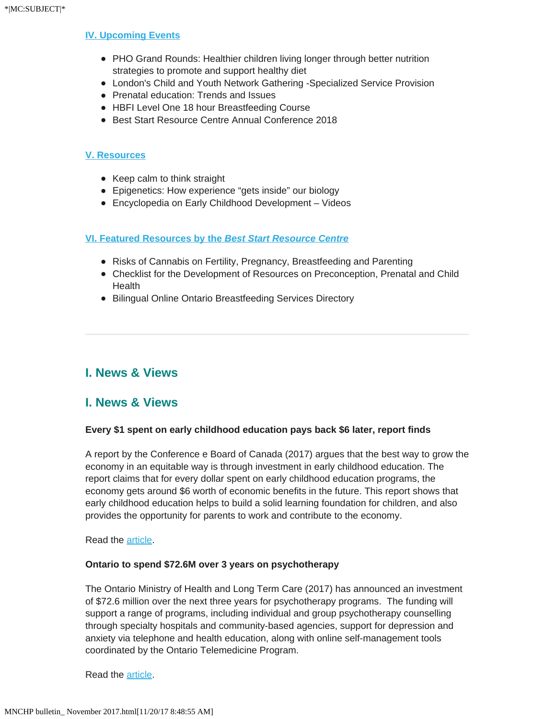#### **[IV. Upcoming Events](https://mail.google.com/mail/u/0/#m_6005242030151165794_IV._Upcoming_Events)**

- PHO Grand Rounds: Healthier children living longer through better nutrition strategies to promote and support healthy diet
- London's Child and Youth Network Gathering -Specialized Service Provision
- Prenatal education: Trends and Issues
- HBFI Level One 18 hour Breastfeeding Course
- Best Start Resource Centre Annual Conference 2018

#### **[V. Resources](https://mail.google.com/mail/u/0/#m_6005242030151165794_V._Resources)**

- Keep calm to think straight
- Epigenetics: How experience "gets inside" our biology
- Encyclopedia on Early Childhood Development Videos

#### **[VI. Featured Resources by the](https://mail.google.com/mail/u/0/#m_6005242030151165794_VI._BSRC_Resources)** *[Best Start Resource Centre](https://mail.google.com/mail/u/0/#m_6005242030151165794_VI._BSRC_Resources)*

- Risks of Cannabis on Fertility, Pregnancy, Breastfeeding and Parenting
- Checklist for the Development of Resources on Preconception, Prenatal and Child **Health**
- Bilingual Online Ontario Breastfeeding Services Directory

# **I. News & Views**

# **I. News & Views**

#### **Every \$1 spent on early childhood education pays back \$6 later, report finds**

A report by the Conference e Board of Canada (2017) argues that the best way to grow the economy in an equitable way is through investment in early childhood education. The report claims that for every dollar spent on early childhood education programs, the economy gets around \$6 worth of economic benefits in the future. This report shows that early childhood education helps to build a solid learning foundation for children, and also provides the opportunity for parents to work and contribute to the economy.

#### Read the [article](http://www.cbc.ca/news/business/early-childhood-education-1.4374820).

#### **Ontario to spend \$72.6M over 3 years on psychotherapy**

The Ontario Ministry of Health and Long Term Care (2017) has announced an investment of \$72.6 million over the next three years for psychotherapy programs. The funding will support a range of programs, including individual and group psychotherapy counselling through specialty hospitals and community-based agencies, support for depression and anxiety via telephone and health education, along with online self-management tools coordinated by the Ontario Telemedicine Program.

Read the [article](http://www.cbc.ca/news/canada/toronto/ontario-health-minister-eric-hoskins-psychotherapy-1.4317118?_cldee=cm9zc2VAbmNmLmNh&recipientid=contact-39fdece4f1d1e6118105480fcfeaa931-7d55136fd85741e686eb199c90de201d&esid=88155c7a-17a9-e711-8125-480fcfe97e21).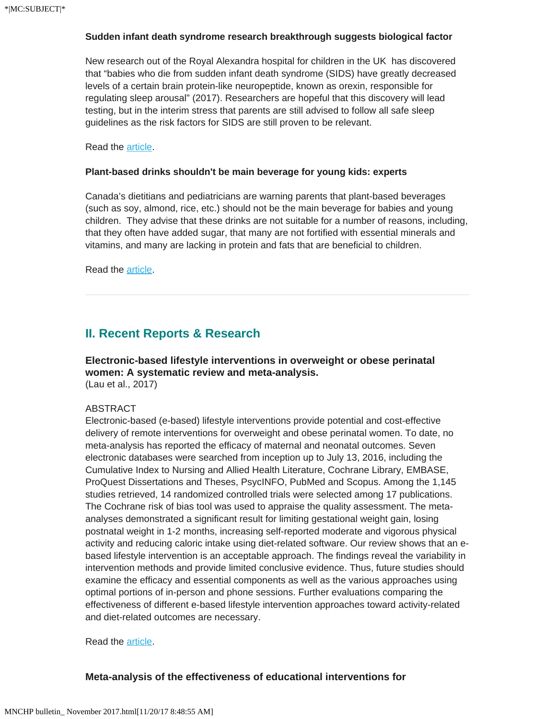## **Sudden infant death syndrome research breakthrough suggests biological factor**

New research out of the Royal Alexandra hospital for children in the UK has discovered that "babies who die from sudden infant death syndrome (SIDS) have greatly decreased levels of a certain brain protein-like neuropeptide, known as orexin, responsible for regulating sleep arousal" (2017). Researchers are hopeful that this discovery will lead testing, but in the interim stress that parents are still advised to follow all safe sleep guidelines as the risk factors for SIDS are still proven to be relevant.

Read the [article](https://www.theguardian.com/australia-news/2016/nov/16/sudden-infant-death-syndrome-cot-death-biological-cause-research).

## **Plant-based drinks shouldn't be main beverage for young kids: experts**

Canada's dietitians and pediatricians are warning parents that plant-based beverages (such as soy, almond, rice, etc.) should not be the main beverage for babies and young children. They advise that these drinks are not suitable for a number of reasons, including, that they often have added sugar, that many are not fortified with essential minerals and vitamins, and many are lacking in protein and fats that are beneficial to children.

Read the [article](http://nationalpost.com/pmn/news-pmn/canada-news-pmn/plant-based-drinks-shouldnt-be-main-beverage-for-young-kids-experts).

# **II. Recent Reports & Research**

**Electronic-based lifestyle interventions in overweight or obese perinatal women: A systematic review and meta-analysis.**  (Lau et al., 2017)

## ABSTRACT

Electronic-based (e-based) lifestyle interventions provide potential and cost-effective delivery of remote interventions for overweight and obese perinatal women. To date, no meta-analysis has reported the efficacy of maternal and neonatal outcomes. Seven electronic databases were searched from inception up to July 13, 2016, including the Cumulative Index to Nursing and Allied Health Literature, Cochrane Library, EMBASE, ProQuest Dissertations and Theses, PsycINFO, PubMed and Scopus. Among the 1,145 studies retrieved, 14 randomized controlled trials were selected among 17 publications. The Cochrane risk of bias tool was used to appraise the quality assessment. The metaanalyses demonstrated a significant result for limiting gestational weight gain, losing postnatal weight in 1-2 months, increasing self-reported moderate and vigorous physical activity and reducing caloric intake using diet-related software. Our review shows that an ebased lifestyle intervention is an acceptable approach. The findings reveal the variability in intervention methods and provide limited conclusive evidence. Thus, future studies should examine the efficacy and essential components as well as the various approaches using optimal portions of in-person and phone sessions. Further evaluations comparing the effectiveness of different e-based lifestyle intervention approaches toward activity-related and diet-related outcomes are necessary.

Read the [article](https://www.healthevidence.org/view-article.aspx?a=electronic-based-lifestyle-interventions-overweight-obese-perinatal-women-32601).

# **Meta-analysis of the effectiveness of educational interventions for**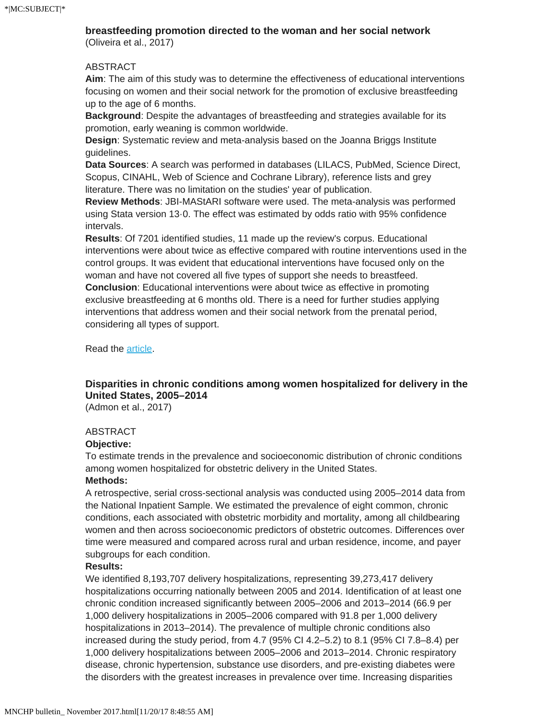## **breastfeeding promotion directed to the woman and her social network**

(Oliveira et al., 2017)

#### ABSTRACT

**Aim**: The aim of this study was to determine the effectiveness of educational interventions focusing on women and their social network for the promotion of exclusive breastfeeding up to the age of 6 months.

**Background**: Despite the advantages of breastfeeding and strategies available for its promotion, early weaning is common worldwide.

**Design**: Systematic review and meta-analysis based on the Joanna Briggs Institute guidelines.

**Data Sources**: A search was performed in databases (LILACS, PubMed, Science Direct, Scopus, CINAHL, Web of Science and Cochrane Library), reference lists and grey literature. There was no limitation on the studies' year of publication.

**Review Methods**: JBI-MAStARI software were used. The meta-analysis was performed using Stata version 13·0. The effect was estimated by odds ratio with 95% confidence intervals.

**Results**: Of 7201 identified studies, 11 made up the review's corpus. Educational interventions were about twice as effective compared with routine interventions used in the control groups. It was evident that educational interventions have focused only on the woman and have not covered all five types of support she needs to breastfeed. **Conclusion**: Educational interventions were about twice as effective in promoting exclusive breastfeeding at 6 months old. There is a need for further studies applying interventions that address women and their social network from the prenatal period, considering all types of support.

Read the **article**.

# **Disparities in chronic conditions among women hospitalized for delivery in the United States, 2005–2014**

(Admon et al., 2017)

#### ABSTRACT

#### **Objective:**

To estimate trends in the prevalence and socioeconomic distribution of chronic conditions among women hospitalized for obstetric delivery in the United States.

## **Methods:**

A retrospective, serial cross-sectional analysis was conducted using 2005–2014 data from the National Inpatient Sample. We estimated the prevalence of eight common, chronic conditions, each associated with obstetric morbidity and mortality, among all childbearing women and then across socioeconomic predictors of obstetric outcomes. Differences over time were measured and compared across rural and urban residence, income, and payer subgroups for each condition.

#### **Results:**

We identified 8,193,707 delivery hospitalizations, representing 39,273,417 delivery hospitalizations occurring nationally between 2005 and 2014. Identification of at least one chronic condition increased significantly between 2005–2006 and 2013–2014 (66.9 per 1,000 delivery hospitalizations in 2005–2006 compared with 91.8 per 1,000 delivery hospitalizations in 2013–2014). The prevalence of multiple chronic conditions also increased during the study period, from 4.7 (95% CI 4.2–5.2) to 8.1 (95% CI 7.8–8.4) per 1,000 delivery hospitalizations between 2005–2006 and 2013–2014. Chronic respiratory disease, chronic hypertension, substance use disorders, and pre-existing diabetes were the disorders with the greatest increases in prevalence over time. Increasing disparities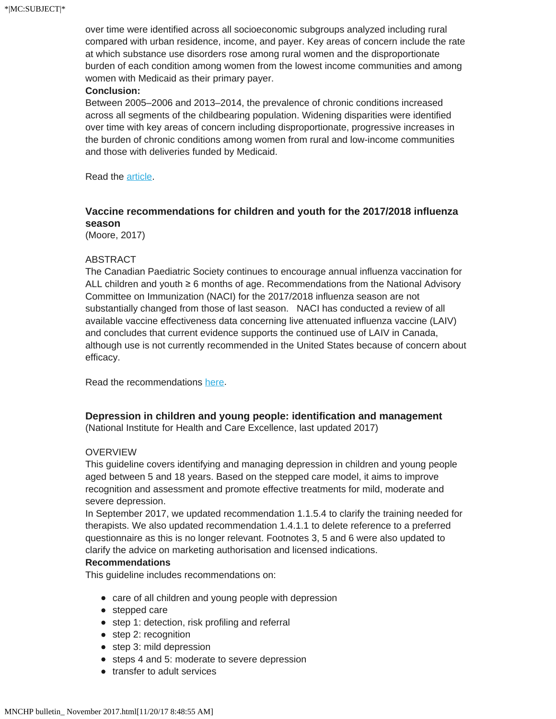over time were identified across all socioeconomic subgroups analyzed including rural compared with urban residence, income, and payer. Key areas of concern include the rate at which substance use disorders rose among rural women and the disproportionate burden of each condition among women from the lowest income communities and among women with Medicaid as their primary payer.

#### **Conclusion:**

Between 2005–2006 and 2013–2014, the prevalence of chronic conditions increased across all segments of the childbearing population. Widening disparities were identified over time with key areas of concern including disproportionate, progressive increases in the burden of chronic conditions among women from rural and low-income communities and those with deliveries funded by Medicaid.

Read the [article](http://www.publichealthjrnl.com/article/S0033-3506(17)30129-4/abstract).

# **Vaccine recommendations for children and youth for the 2017/2018 influenza season**

(Moore, 2017)

#### ABSTRACT

The Canadian Paediatric Society continues to encourage annual influenza vaccination for ALL children and youth ≥ 6 months of age. Recommendations from the National Advisory Committee on Immunization (NACI) for the 2017/2018 influenza season are not substantially changed from those of last season. NACI has conducted a review of all available vaccine effectiveness data concerning live attenuated influenza vaccine (LAIV) and concludes that current evidence supports the continued use of LAIV in Canada, although use is not currently recommended in the United States because of concern about efficacy.

Read the recommendations [here](https://www.cps.ca/en/documents/position/influenza-vaccine-recommendations).

### **Depression in children and young people: identification and management**

(National Institute for Health and Care Excellence, last updated 2017)

#### **OVERVIEW**

This guideline covers identifying and managing depression in children and young people aged between 5 and 18 years. Based on the stepped care model, it aims to improve recognition and assessment and promote effective treatments for mild, moderate and severe depression.

In September 2017, we updated recommendation 1.1.5.4 to clarify the training needed for therapists. We also updated recommendation 1.4.1.1 to delete reference to a preferred questionnaire as this is no longer relevant. Footnotes 3, 5 and 6 were also updated to clarify the advice on marketing authorisation and licensed indications.

#### **Recommendations**

This guideline includes recommendations on:

- care of all children and young people with depression
- stepped care
- step 1: detection, risk profiling and referral
- step 2: recognition
- step 3: mild depression
- steps 4 and 5: moderate to severe depression
- transfer to adult services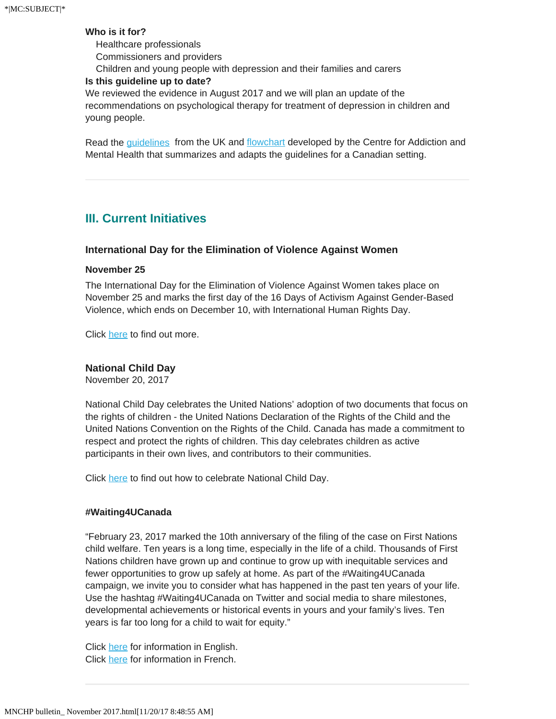#### **Who is it for?**

 Healthcare professionals Commissioners and providers Children and young people with depression and their families and carers

#### **Is this guideline up to date?**

We reviewed the evidence in August 2017 and we will plan an update of the recommendations on psychological therapy for treatment of depression in children and young people.

Read the [guidelines](https://www.nice.org.uk/guidance/cg28) from the UK and [flowchart](https://www.porticonetwork.ca/tools/clinical-tools/childhood-depression-treatment-flowchart) developed by the Centre for Addiction and Mental Health that summarizes and adapts the guidelines for a Canadian setting.

# **III. Current Initiatives**

#### **International Day for the Elimination of Violence Against Women**

#### **November 25**

The International Day for the Elimination of Violence Against Women takes place on November 25 and marks the first day of the 16 Days of Activism Against Gender-Based Violence, which ends on December 10, with International Human Rights Day.

Click [here](http://www.swc-cfc.gc.ca/commemoration/vaw-vff/index-en.html) to find out more.

#### **National Child Day**

November 20, 2017

National Child Day celebrates the United Nations' adoption of two documents that focus on the rights of children - the United Nations Declaration of the Rights of the Child and the United Nations Convention on the Rights of the Child. Canada has made a commitment to respect and protect the rights of children. This day celebrates children as active participants in their own lives, and contributors to their communities.

Click [here](http://%20https//www.canada.ca/en/public-health/services/health-promotion/childhood-adolescence/national-child-day.html) to find out how to celebrate National Child Day.

#### **#Waiting4UCanada**

"February 23, 2017 marked the 10th anniversary of the filing of the case on First Nations child welfare. Ten years is a long time, especially in the life of a child. Thousands of First Nations children have grown up and continue to grow up with inequitable services and fewer opportunities to grow up safely at home. As part of the #Waiting4UCanada campaign, we invite you to consider what has happened in the past ten years of your life. Use the hashtag #Waiting4UCanada on Twitter and social media to share milestones, developmental achievements or historical events in yours and your family's lives. Ten years is far too long for a child to wait for equity."

Click [here](https://fncaringsociety.com/events/waiting4ucanada-10th-anniversary-first-nations-child-welfare-case) for information in English. Click [here](https://fncaringsociety.com/fr/events/10ansonattend-10e-anniversaire-du-cas-de-la-protection-de-lenfance-des-enfants-premi%C3%A8res) for information in French.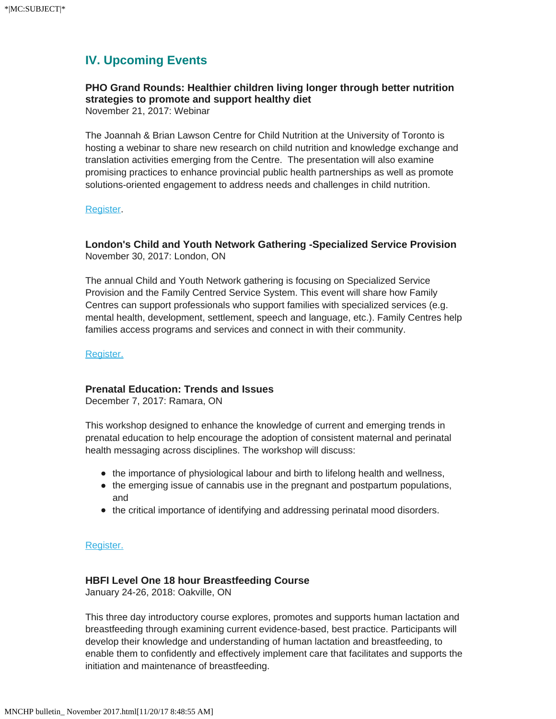# **IV. Upcoming Events**

# **PHO Grand Rounds: Healthier children living longer through better nutrition strategies to promote and support healthy diet**

November 21, 2017: Webinar

The Joannah & Brian Lawson Centre for Child Nutrition at the University of Toronto is hosting a webinar to share new research on child nutrition and knowledge exchange and translation activities emerging from the Centre. The presentation will also examine promising practices to enhance provincial public health partnerships as well as promote solutions-oriented engagement to address needs and challenges in child nutrition.

#### [Register](https://www.publichealthontario.ca/en/LearningAndDevelopment/Events/Pages/PHO_Grand_Rounds_Healthier_children_living_longer_through_better_nutrition_Strategies_to_promote_and_support_healthy_diet.aspx).

### **London's Child and Youth Network Gathering -Specialized Service Provision** November 30, 2017: London, ON

The annual Child and Youth Network gathering is focusing on Specialized Service Provision and the Family Centred Service System. This event will share how Family Centres can support professionals who support families with specialized services (e.g. mental health, development, settlement, speech and language, etc.). Family Centres help families access programs and services and connect in with their community.

[Register.](https://www.eventbrite.com/e/londons-child-and-youth-network-gathering-specialized-service-provision-tickets-38657073347?aff=es2)

### **Prenatal Education: Trends and Issues**

December 7, 2017: Ramara, ON

This workshop designed to enhance the knowledge of current and emerging trends in prenatal education to help encourage the adoption of consistent maternal and perinatal health messaging across disciplines. The workshop will discuss:

- the importance of physiological labour and birth to lifelong health and wellness,
- the emerging issue of cannabis use in the pregnant and postpartum populations, and
- the critical importance of identifying and addressing perinatal mood disorders.

#### [Register.](https://www.eventbrite.com/e/prenatal-education-trends-and-issues-tickets-38954000464?aff=es2)

#### **HBFI Level One 18 hour Breastfeeding Course**

January 24-26, 2018: Oakville, ON

This three day introductory course explores, promotes and supports human lactation and breastfeeding through examining current evidence-based, best practice. Participants will develop their knowledge and understanding of human lactation and breastfeeding, to enable them to confidently and effectively implement care that facilitates and supports the initiation and maintenance of breastfeeding.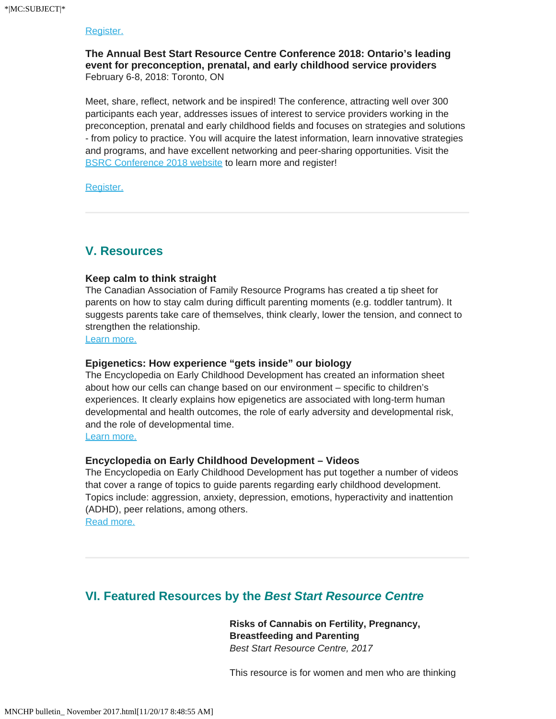#### [Register.](https://www.eventbrite.ca/e/hbfi-level-one-18-hour-breastfeeding-course-january-24-26-2018-registration-35725257206?aff=es2)

**The Annual Best Start Resource Centre Conference 2018: Ontario's leading event for preconception, prenatal, and early childhood service providers** February 6-8, 2018: Toronto, ON

Meet, share, reflect, network and be inspired! The conference, attracting well over 300 participants each year, addresses issues of interest to service providers working in the preconception, prenatal and early childhood fields and focuses on strategies and solutions - from policy to practice. You will acquire the latest information, learn innovative strategies and programs, and have excellent networking and peer-sharing opportunities. Visit the [BSRC Conference 2018 website](http://en.beststart.org/event/2018-best-start-resource-centre-annual-conference) to learn more and register!

[Register.](http://en.beststart.org/2018-BSRC-Conference-Registration)

# **V. Resources**

#### **Keep calm to think straight**

The Canadian Association of Family Resource Programs has created a tip sheet for parents on how to stay calm during difficult parenting moments (e.g. toddler tantrum). It suggests parents take care of themselves, think clearly, lower the tension, and connect to strengthen the relationship.

[Learn more.](http://www.parentsmatter.ca/index.cfm?fuseaction=document.viewDocument&documentid=1345&documentFormatId=2611&vDocLinkOrigin=1&CFID=20759518&CFTOKEN=f608e8e6d9761beb-637DE39Ahttps://nhsforthvalley.com/wp-content/uploads/2014/02/Baby_Food_in_the_UK-_2017.pdf)

#### **Epigenetics: How experience "gets inside" our biology**

The Encyclopedia on Early Childhood Development has created an information sheet about how our cells can change based on our environment – specific to children's experiences. It clearly explains how epigenetics are associated with long-term human developmental and health outcomes, the role of early adversity and developmental risk, and the role of developmental time.

[Learn more.](http://www.child-encyclopedia.com/sites/default/files/docs/coups-oeil/epigenetics-info.pdf)

#### **Encyclopedia on Early Childhood Development – Videos**

The Encyclopedia on Early Childhood Development has put together a number of videos that cover a range of topics to guide parents regarding early childhood development. Topics include: aggression, anxiety, depression, emotions, hyperactivity and inattention (ADHD), peer relations, among others. [Read more.](https://www.canada.ca/en/health-canada/services/home-garden-safety/backyard-safety.html)

# **VI. Featured Resources by the** *Best Start Resource Centre*

**Risks of Cannabis on Fertility, Pregnancy, Breastfeeding and Parenting** *Best Start Resource Centre, 2017*

This resource is for women and men who are thinking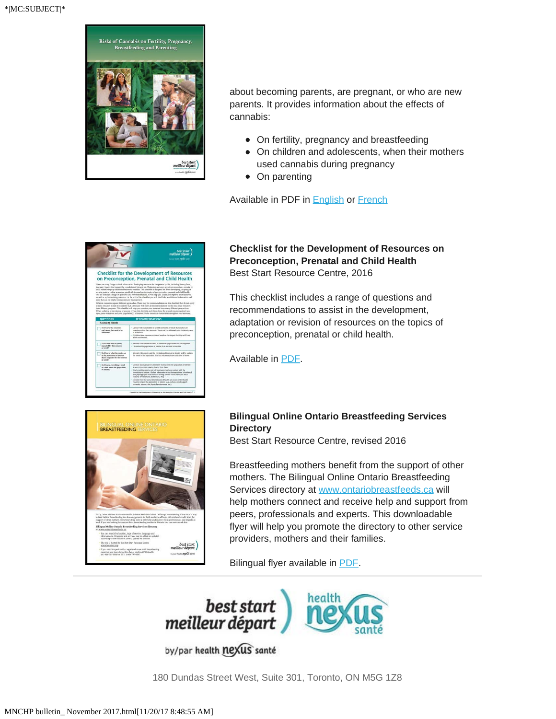

about becoming parents, are pregnant, or who are new parents. It provides information about the effects of cannabis:

- On fertility, pregnancy and breastfeeding
- On children and adolescents, when their mothers used cannabis during pregnancy
- On parenting

Available in PDF in **[English](https://www.beststart.org/cgi-bin/commerce.cgi?search=action&category=A00E&advanced=yes&sortkey=sku&sortorder=descending) or [French](https://www.beststart.org/resources/alc_reduction/LesRisquesDuCannabis_A30-F.pdf)** 

|                                                                                                                 | best start<br>meilleur départ<br>tuice leath <b>next</b> until                                                                                                                                                                                                                                                                                                                                                                                                                                                                                                                                                                                                                                                                                                                                                                                                                                                                                                                                                                                                                                                                                                                                                                                                                                                  |
|-----------------------------------------------------------------------------------------------------------------|-----------------------------------------------------------------------------------------------------------------------------------------------------------------------------------------------------------------------------------------------------------------------------------------------------------------------------------------------------------------------------------------------------------------------------------------------------------------------------------------------------------------------------------------------------------------------------------------------------------------------------------------------------------------------------------------------------------------------------------------------------------------------------------------------------------------------------------------------------------------------------------------------------------------------------------------------------------------------------------------------------------------------------------------------------------------------------------------------------------------------------------------------------------------------------------------------------------------------------------------------------------------------------------------------------------------|
| tools that can be belphil during resource development.                                                          | <b>Checklist for the Development of Resources</b><br>on Preconception, Prenatal and Child Health<br>There are many things to think about when developing resources for the general public, including literacy level,<br>language, images that engage the population of interest, etc. Designing resources about preconception, prenatal or<br>child health brings up additional factors to consider. This checklist is designed for those developing, adapting or<br>revisite reint or ordine resources specifically focused on the toxics of resonoception, prenatal and child bealth.<br>The list includes a range of questions and recommendations. It will help you assess and improve draft resources<br>as well as undate existing resources. At the end of the checkist you will find links to additional information and<br>Different resources require different approaches. There may be recommendations on this checklet that do not apply<br>to your resource, In fact it is unlikely that a resource will meet all recommendations on this list, since resources<br>have different ournours. This checklet will help you examine your resonance from many different perspectives.<br>When vexlating or developing resources, review this checklat and think about the special requirements of your |
|                                                                                                                 | topic, your objectives and your pepulation(s) of interest. Make conscious choices that strengthen your resource.                                                                                                                                                                                                                                                                                                                                                                                                                                                                                                                                                                                                                                                                                                                                                                                                                                                                                                                                                                                                                                                                                                                                                                                                |
| QUESTIONS                                                                                                       | <b>RECOMMENDATIONS</b>                                                                                                                                                                                                                                                                                                                                                                                                                                                                                                                                                                                                                                                                                                                                                                                                                                                                                                                                                                                                                                                                                                                                                                                                                                                                                          |
| <b>Assessing Needs</b><br>Do I know the concerns<br>and ternds that need to be<br>addressed?                    | · Consult with stakeholders to identify concerns or trends that exist or are<br>energing within the community that could be addressed with the development<br>of a resource.<br>* Prioritize these concerns or ternils based on the impact that they will have<br>if left unaddressed.                                                                                                                                                                                                                                                                                                                                                                                                                                                                                                                                                                                                                                                                                                                                                                                                                                                                                                                                                                                                                          |
| On I know who is (most)<br>inspected by this concern.<br>or trend?                                              | · Research this concern or trend to determine prevalations that are impacted.<br>· Determine the populations of interest that are most vulnerable.                                                                                                                                                                                                                                                                                                                                                                                                                                                                                                                                                                                                                                                                                                                                                                                                                                                                                                                                                                                                                                                                                                                                                              |
| Do I know what the isreds are<br>of the pepulation of interest<br>that is impacted by the concern<br>or ternet! | * Consult with experts and the population of interest to identify and/or confirm.<br>the needs of the population. Find out what they know and need to know.                                                                                                                                                                                                                                                                                                                                                                                                                                                                                                                                                                                                                                                                                                                                                                                                                                                                                                                                                                                                                                                                                                                                                     |

**Checklist for the Development of Resources on Preconception, Prenatal and Child Health**  Best Start Resource Centre, 2016

This checklist includes a range of questions and recommendations to assist in the development, adaptation or revision of resources on the topics of preconception, prenatal or child health.

Available in [PDF](https://www.beststart.org/resources/howto/pdf/checklist.pdf).



## **Bilingual Online Ontario Breastfeeding Services Directory**

Best Start Resource Centre, revised 2016

Breastfeeding mothers benefit from the support of other mothers. The Bilingual Online Ontario Breastfeeding Services directory at [www.ontariobreastfeeds.ca](http://www.ontariobreastfeeds.ca/) will help mothers connect and receive help and support from peers, professionals and experts. This downloadable flyer will help you promote the directory to other service providers, mothers and their families.

Bilingual flyer available in [PDF.](https://www.beststart.org/resources/breastfeeding/B14-B_flyer_bilingual.pdf)



by/par health nexus santé

180 Dundas Street West, Suite 301, Toronto, ON M5G 1Z8